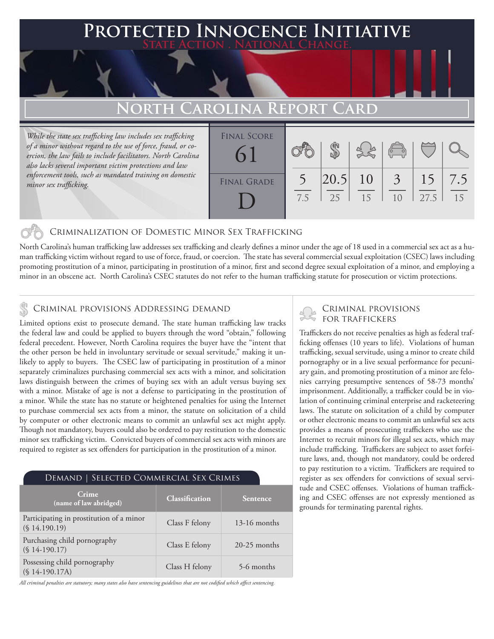### **Protected Innocence Initiative State Action . National Change.**

## **North Carolina Report Card**

*While the state sex trafficking law includes sex trafficking of a minor without regard to the use of force, fraud, or coercion, the law fails to include facilitators. North Carolina also lacks several important victim protections and law enforcement tools, such as mandated training on domestic minor sex trafficking.*

| <b>FINAL SCORE</b><br>$\Omega$ |     |             |          | $\begin{pmatrix} 0 & 0 \\ \hline 0 & 0 \end{pmatrix}$ |            |           |
|--------------------------------|-----|-------------|----------|-------------------------------------------------------|------------|-----------|
| <b>FINAL GRADE</b>             | 7.5 | 20.5 <br>25 | 10<br>15 | $\overline{3}$<br>10                                  | 15<br>27.5 | 7.5<br>15 |

#### Criminalization of Domestic Minor Sex Trafficking

North Carolina's human trafficking law addresses sex trafficking and clearly defines a minor under the age of 18 used in a commercial sex act as a human trafficking victim without regard to use of force, fraud, or coercion. The state has several commercial sexual exploitation (CSEC) laws including promoting prostitution of a minor, participating in prostitution of a minor, first and second degree sexual exploitation of a minor, and employing a minor in an obscene act. North Carolina's CSEC statutes do not refer to the human trafficking statute for prosecution or victim protections.

# CRIMINAL PROVISIONS ADDRESSING DEMAND<br>I imited options axist to processure demand. The state human trafficking law tracks FOR TRAFFICKERS

Limited options exist to prosecute demand. The state human trafficking law tracks the federal law and could be applied to buyers through the word "obtain," following federal precedent. However, North Carolina requires the buyer have the "intent that the other person be held in involuntary servitude or sexual servitude," making it unlikely to apply to buyers. The CSEC law of participating in prostitution of a minor separately criminalizes purchasing commercial sex acts with a minor, and solicitation laws distinguish between the crimes of buying sex with an adult versus buying sex with a minor. Mistake of age is not a defense to participating in the prostitution of a minor. While the state has no statute or heightened penalties for using the Internet to purchase commercial sex acts from a minor, the statute on solicitation of a child by computer or other electronic means to commit an unlawful sex act might apply. Though not mandatory, buyers could also be ordered to pay restitution to the domestic minor sex trafficking victim. Convicted buyers of commercial sex acts with minors are required to register as sex offenders for participation in the prostitution of a minor.

#### Demand | Selected Commercial Sex Crimes **Crime** (name of law abridged) **Classification** Participating in prostitution of a minor Class F felony 13-16 months (§ 14.190.19) Purchasing child pornography Tuitlasing cinci pornography<br>
(§ 14-190.17) Class E felony 20-25 months Possessing child pornography Tossessing einig portiography<br>
(§ 14-190.17A) Class H felony 5-6 months

*All criminal penalties are statutory; many states also have sentencing guidelines that are not codified which affect sentencing.* 

Traffickers do not receive penalties as high as federal trafficking offenses (10 years to life). Violations of human trafficking, sexual servitude, using a minor to create child pornography or in a live sexual performance for pecuniary gain, and promoting prostitution of a minor are felonies carrying presumptive sentences of 58-73 months' imprisonment. Additionally, a trafficker could be in violation of continuing criminal enterprise and racketeering laws. The statute on solicitation of a child by computer or other electronic means to commit an unlawful sex acts provides a means of prosecuting traffickers who use the Internet to recruit minors for illegal sex acts, which may include trafficking. Traffickers are subject to asset forfeiture laws, and, though not mandatory, could be ordered to pay restitution to a victim. Traffickers are required to register as sex offenders for convictions of sexual servitude and CSEC offenses. Violations of human trafficking and CSEC offenses are not expressly mentioned as grounds for terminating parental rights.